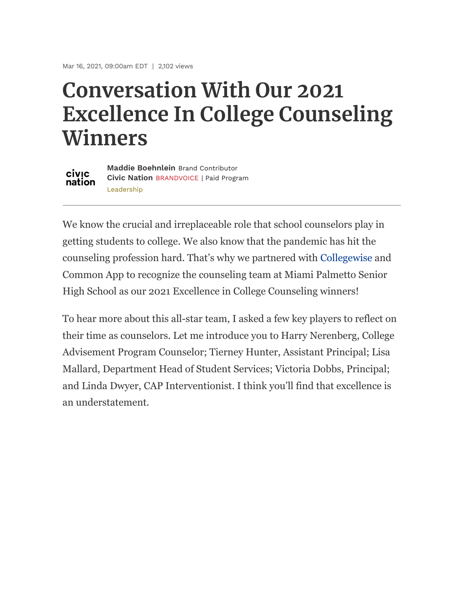# **Conversation With Our 2021 Excellence In College Counseling Winners**



[Leadership](https://www.forbes.com/leadership) **Maddie [Boehnlein](https://www.forbes.com/sites/civicnation/people/maddieboehnlein/)** Brand Contributor **Civic [Nation](https://www.forbes.com/sites/civicnation/)** BRANDVOICE | Paid Program

We know the crucial and irreplaceable role that school counselors play in getting students to college. We also know that the pandemic has hit the counseling profession hard. That's why we partnered with [Collegewise](https://collegewise.com/) and Common App to recognize the counseling team at Miami Palmetto Senior High School as our 2021 Excellence in College Counseling winners!

To hear more about this all-star team, I asked a few key players to reflect on their time as counselors. Let me introduce you to Harry Nerenberg, College Advisement Program Counselor; Tierney Hunter, Assistant Principal; Lisa Mallard, Department Head of Student Services; Victoria Dobbs, Principal; and Linda Dwyer, CAP Interventionist. I think you'll find that excellence is an understatement.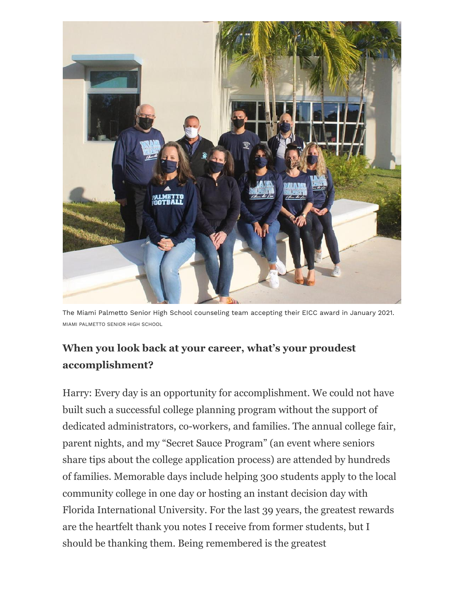

The Miami Palmetto Senior High School counseling team accepting their EICC award in January 2021. MIAMI PALMETTO SENIOR HIGH SCHOOL

## **When you look back at your career, what's your proudest accomplishment?**

Harry: Every day is an opportunity for accomplishment. We could not have built such a successful college planning program without the support of dedicated administrators, co-workers, and families. The annual college fair, parent nights, and my "Secret Sauce Program" (an event where seniors share tips about the college application process) are attended by hundreds of families. Memorable days include helping 300 students apply to the local community college in one day or hosting an instant decision day with Florida International University. For the last 39 years, the greatest rewards are the heartfelt thank you notes I receive from former students, but I should be thanking them. Being remembered is the greatest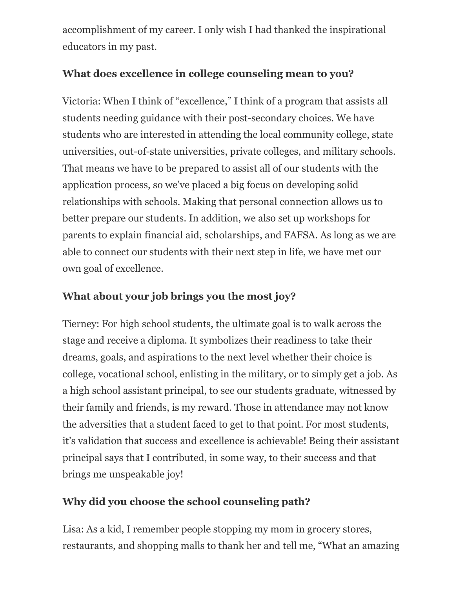accomplishment of my career. I only wish I had thanked the inspirational educators in my past.

#### **What does excellence in college counseling mean to you?**

Victoria: When I think of "excellence," I think of a program that assists all students needing guidance with their post-secondary choices. We have students who are interested in attending the local community college, state universities, out-of-state universities, private colleges, and military schools. That means we have to be prepared to assist all of our students with the application process, so we've placed a big focus on developing solid relationships with schools. Making that personal connection allows us to better prepare our students. In addition, we also set up workshops for parents to explain financial aid, scholarships, and FAFSA. As long as we are able to connect our students with their next step in life, we have met our own goal of excellence.

## **What about your job brings you the most joy?**

Tierney: For high school students, the ultimate goal is to walk across the stage and receive a diploma. It symbolizes their readiness to take their dreams, goals, and aspirations to the next level whether their choice is college, vocational school, enlisting in the military, or to simply get a job. As a high school assistant principal, to see our students graduate, witnessed by their family and friends, is my reward. Those in attendance may not know the adversities that a student faced to get to that point. For most students, it's validation that success and excellence is achievable! Being their assistant principal says that I contributed, in some way, to their success and that brings me unspeakable joy!

## **Why did you choose the school counseling path?**

Lisa: As a kid, I remember people stopping my mom in grocery stores, restaurants, and shopping malls to thank her and tell me, "What an amazing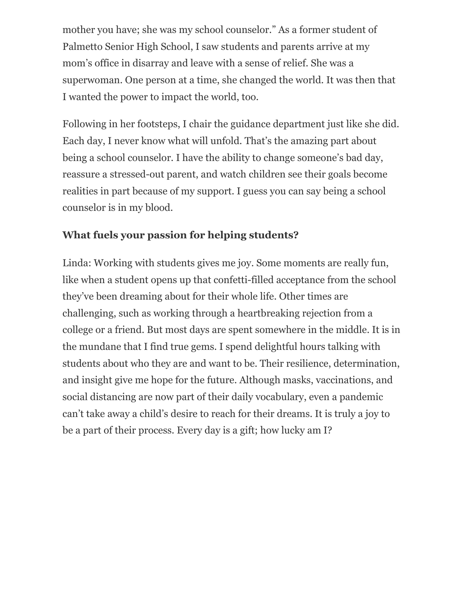mother you have; she was my school counselor." As a former student of Palmetto Senior High School, I saw students and parents arrive at my mom's office in disarray and leave with a sense of relief. She was a superwoman. One person at a time, she changed the world. It was then that I wanted the power to impact the world, too.

Following in her footsteps, I chair the guidance department just like she did. Each day, I never know what will unfold. That's the amazing part about being a school counselor. I have the ability to change someone's bad day, reassure a stressed-out parent, and watch children see their goals become realities in part because of my support. I guess you can say being a school counselor is in my blood.

#### **What fuels your passion for helping students?**

Linda: Working with students gives me joy. Some moments are really fun, like when a student opens up that confetti-filled acceptance from the school they've been dreaming about for their whole life. Other times are challenging, such as working through a heartbreaking rejection from a college or a friend. But most days are spent somewhere in the middle. It is in the mundane that I find true gems. I spend delightful hours talking with students about who they are and want to be. Their resilience, determination, and insight give me hope for the future. Although masks, vaccinations, and social distancing are now part of their daily vocabulary, even a pandemic can't take away a child's desire to reach for their dreams. It is truly a joy to be a part of their process. Every day is a gift; how lucky am I?